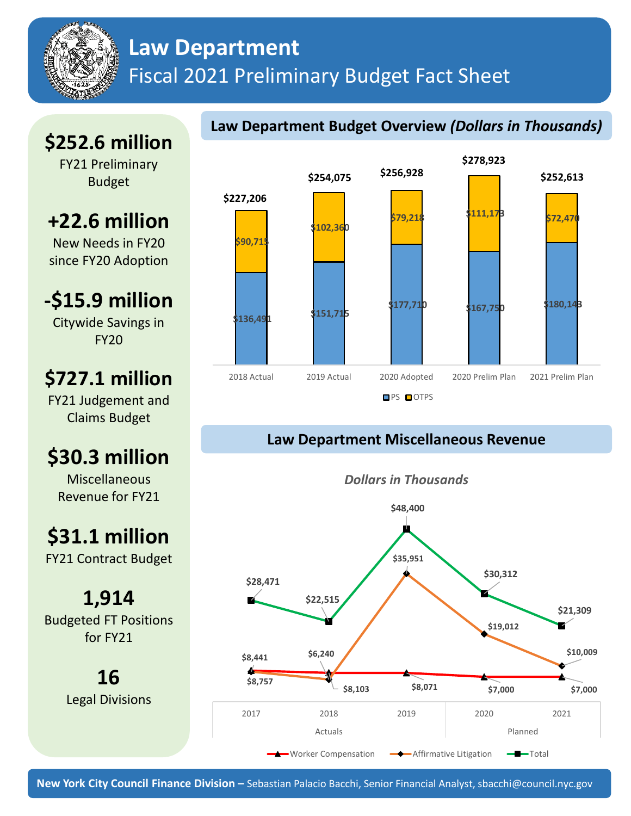## **Law Department** Fiscal 2021 Preliminary Budget Fact Sheet

# **\$252.6 million**

FY21 Preliminary Budget

# **+22.6 million**

New Needs in FY20 since FY20 Adoption

**-\$15.9 million** Citywide Savings in

FY20

## **\$727.1 million**

FY21 Judgement and Claims Budget

# **\$30.3 million**

Miscellaneous Revenue for FY21

# **\$31.1 million**

FY21 Contract Budget

**1,914** Budgeted FT Positions for FY21

> **16** Legal Divisions



**Law Department Budget Overview** *(Dollars in Thousands)*

## **Law Department Miscellaneous Revenue**





**New York City Council Finance Division –** Sebastian Palacio Bacchi, Senior Financial Analyst, sbacchi@council.nyc.gov